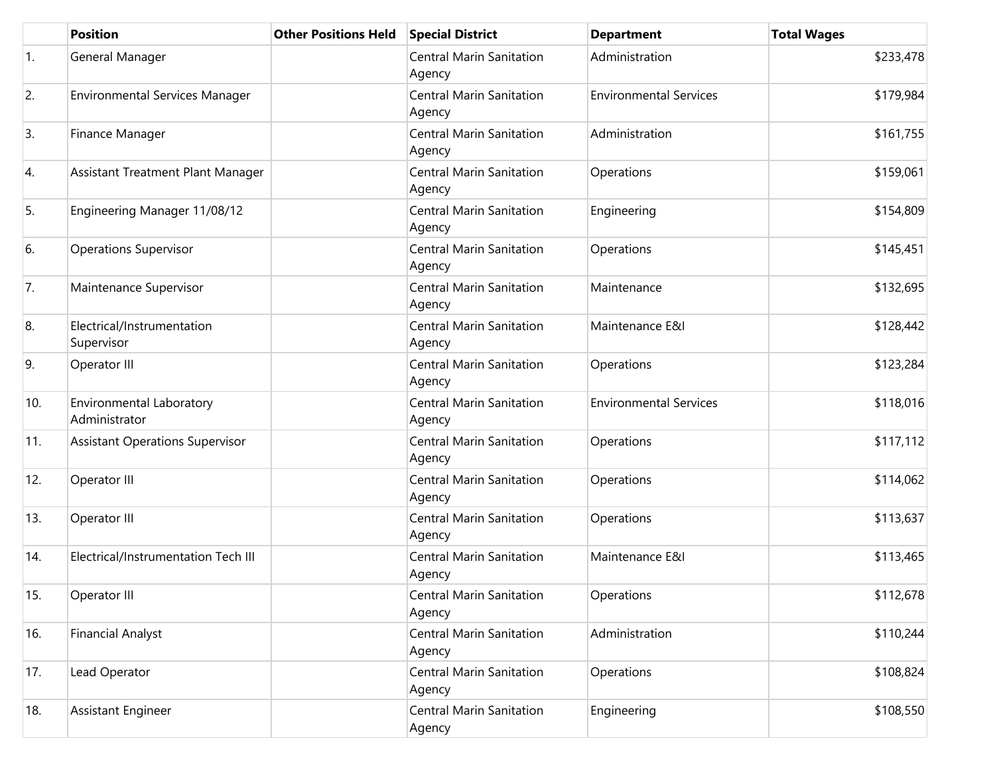|     | <b>Position</b>                           | <b>Other Positions Held</b> | <b>Special District</b>                   | <b>Department</b>             | <b>Total Wages</b> |
|-----|-------------------------------------------|-----------------------------|-------------------------------------------|-------------------------------|--------------------|
| 1.  | General Manager                           |                             | <b>Central Marin Sanitation</b><br>Agency | Administration                | \$233,478          |
| 2.  | <b>Environmental Services Manager</b>     |                             | <b>Central Marin Sanitation</b><br>Agency | <b>Environmental Services</b> | \$179,984          |
| 3.  | Finance Manager                           |                             | <b>Central Marin Sanitation</b><br>Agency | Administration                | \$161,755          |
| 4.  | Assistant Treatment Plant Manager         |                             | <b>Central Marin Sanitation</b><br>Agency | Operations                    | \$159,061          |
| 5.  | Engineering Manager 11/08/12              |                             | <b>Central Marin Sanitation</b><br>Agency | Engineering                   | \$154,809          |
| 6.  | <b>Operations Supervisor</b>              |                             | <b>Central Marin Sanitation</b><br>Agency | Operations                    | \$145,451          |
| 7.  | Maintenance Supervisor                    |                             | <b>Central Marin Sanitation</b><br>Agency | Maintenance                   | \$132,695          |
| 8.  | Electrical/Instrumentation<br>Supervisor  |                             | <b>Central Marin Sanitation</b><br>Agency | Maintenance E&I               | \$128,442          |
| 9.  | Operator III                              |                             | <b>Central Marin Sanitation</b><br>Agency | Operations                    | \$123,284          |
| 10. | Environmental Laboratory<br>Administrator |                             | <b>Central Marin Sanitation</b><br>Agency | <b>Environmental Services</b> | \$118,016          |
| 11. | <b>Assistant Operations Supervisor</b>    |                             | <b>Central Marin Sanitation</b><br>Agency | Operations                    | \$117,112          |
| 12. | Operator III                              |                             | <b>Central Marin Sanitation</b><br>Agency | Operations                    | \$114,062          |
| 13. | Operator III                              |                             | <b>Central Marin Sanitation</b><br>Agency | Operations                    | \$113,637          |
| 14. | Electrical/Instrumentation Tech III       |                             | <b>Central Marin Sanitation</b><br>Agency | Maintenance E&I               | \$113,465          |
| 15. | Operator III                              |                             | <b>Central Marin Sanitation</b><br>Agency | Operations                    | \$112,678          |
| 16. | <b>Financial Analyst</b>                  |                             | <b>Central Marin Sanitation</b><br>Agency | Administration                | \$110,244          |
| 17. | Lead Operator                             |                             | <b>Central Marin Sanitation</b><br>Agency | Operations                    | \$108,824          |
| 18. | <b>Assistant Engineer</b>                 |                             | <b>Central Marin Sanitation</b><br>Agency | Engineering                   | \$108,550          |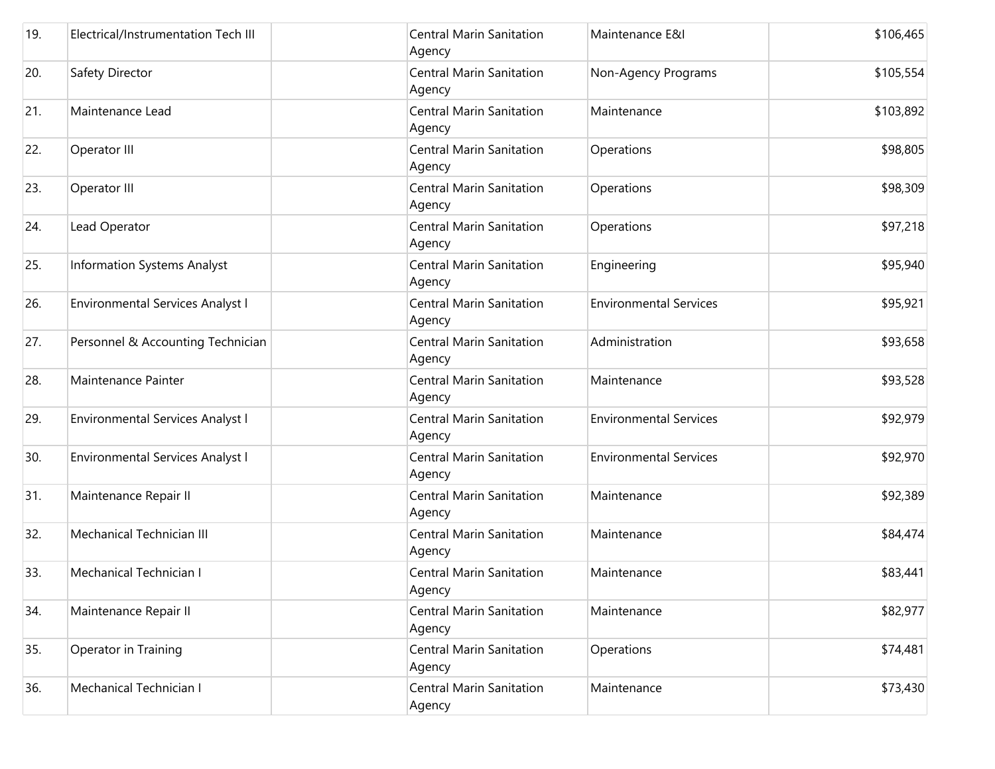| 19. | Electrical/Instrumentation Tech III     | <b>Central Marin Sanitation</b><br>Agency | Maintenance E&I               | \$106,465 |
|-----|-----------------------------------------|-------------------------------------------|-------------------------------|-----------|
| 20. | Safety Director                         | <b>Central Marin Sanitation</b><br>Agency | Non-Agency Programs           | \$105,554 |
| 21. | Maintenance Lead                        | <b>Central Marin Sanitation</b><br>Agency | Maintenance                   | \$103,892 |
| 22. | Operator III                            | <b>Central Marin Sanitation</b><br>Agency | Operations                    | \$98,805  |
| 23. | Operator III                            | <b>Central Marin Sanitation</b><br>Agency | Operations                    | \$98,309  |
| 24. | Lead Operator                           | <b>Central Marin Sanitation</b><br>Agency | Operations                    | \$97,218  |
| 25. | Information Systems Analyst             | <b>Central Marin Sanitation</b><br>Agency | Engineering                   | \$95,940  |
| 26. | <b>Environmental Services Analyst I</b> | <b>Central Marin Sanitation</b><br>Agency | <b>Environmental Services</b> | \$95,921  |
| 27. | Personnel & Accounting Technician       | <b>Central Marin Sanitation</b><br>Agency | Administration                | \$93,658  |
| 28. | Maintenance Painter                     | <b>Central Marin Sanitation</b><br>Agency | Maintenance                   | \$93,528  |
| 29. | Environmental Services Analyst I        | <b>Central Marin Sanitation</b><br>Agency | <b>Environmental Services</b> | \$92,979  |
| 30. | Environmental Services Analyst I        | <b>Central Marin Sanitation</b><br>Agency | <b>Environmental Services</b> | \$92,970  |
| 31. | Maintenance Repair II                   | <b>Central Marin Sanitation</b><br>Agency | Maintenance                   | \$92,389  |
| 32. | Mechanical Technician III               | <b>Central Marin Sanitation</b><br>Agency | Maintenance                   | \$84,474  |
| 33. | Mechanical Technician I                 | <b>Central Marin Sanitation</b><br>Agency | Maintenance                   | \$83,441  |
| 34. | Maintenance Repair II                   | <b>Central Marin Sanitation</b><br>Agency | Maintenance                   | \$82,977  |
| 35. | Operator in Training                    | <b>Central Marin Sanitation</b><br>Agency | Operations                    | \$74,481  |
| 36. | Mechanical Technician I                 | <b>Central Marin Sanitation</b><br>Agency | Maintenance                   | \$73,430  |